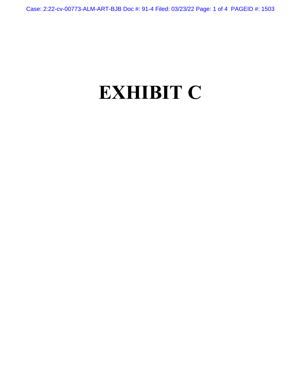Case: 2:22-cv-00773-ALM-ART-BJB Doc #: 91-4 Filed: 03/23/22 Page: 1 of 4 PAGEID #: 1503

## **EXHIBIT C**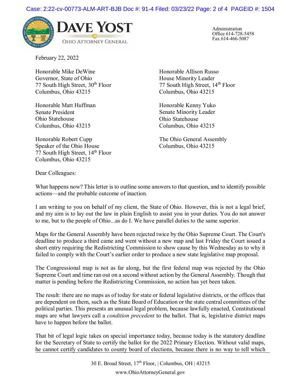

Administration Office 614-728-5458 Fax 614-466-5087

February 22, 2022

Honorable Mike DeWine Governor, State of Ohio 77 South High Street,  $30<sup>th</sup>$  Floor Columbus, Ohio 43215

Honorable Matt Huffman Senate President Ohio Statehouse Columbus, Ohio 43215

Honorable Robert Cupp Speaker of the Ohio House 77 South High Street, 14<sup>th</sup> Floor Columbus, Ohio 43215

Honorable Allison Russo House Minority Leader 77 South High Street, 14<sup>th</sup> Floor Columbus, Ohio 43215

Honorable Kenny Yuko Senate Minority Leader Ohio Statehouse Columbus, Ohio 43215

The Ohio General Assembly Columbus, Ohio 43215

Dear Colleagues:

What happens now? This letter is to outline some answers to that question, and to identify possible actions—and the probable outcome of inaction.

I am writing to you on behalf of my client, the State of Ohio. However, this is not a legal brief, and my aim is to lay out the law in plain English to assist you in your duties. You do not answer to me, but to the people of Ohio...as do I. We have parallel duties to the same superior.

Maps for the General Assembly have been rejected twice by the Ohio Supreme Court. The Court's deadline to produce a third came and went without a new map and last Friday the Court issued a short entry requiring the Redistricting Commission to show cause by this Wednesday as to why it failed to comply with the Court's earlier order to produce a new state legislative map proposal.

The Congressional map is not as far along, but the first federal map was rejected by the Ohio Supreme Court and time ran out on a second without action by the General Assembly. Though that matter is pending before the Redistricting Commission, no action has yet been taken.

The result: there are no maps as of today for state or federal legislative districts, or the offices that are dependent on them, such as the State Board of Education or the state central committees of the political parties. This presents an unusual legal problem, because lawfully enacted, Constitutional maps are what lawyers call a *condition precedent* to the ballot. That is, legislative district maps have to happen before the ballot.

That bit of legal logic takes on special importance today, because today is the statutory deadline for the Secretary of State to certify the ballot for the 2022 Primary Election. Without valid maps, he cannot certify candidates to county board of elections, because there is no way to tell which

> 30 E. Broad Street,  $17<sup>th</sup>$  Floor,  $\vert$  Columbus, OH  $\vert$  43215 www.OhioAttorneyGeneral.gov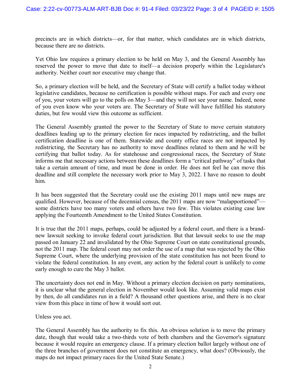precincts are in which districts—or, for that matter, which candidates are in which districts, because there are no districts.

Yet Ohio law requires a primary election to be held on May 3, and the General Assembly has reserved the power to move that date to itself—a decision properly within the Legislature's authority. Neither court nor executive may change that.

So, a primary election will be held, and the Secretary of State will certify a ballot today without legislative candidates, because no certification is possible without maps. For each and every one of you, your voters will go to the polls on May 3—and they will not see your name. Indeed, none of you even know who your voters are. The Secretary of State will have fulfilled his statutory duties, but few would view this outcome as sufficient.

The General Assembly granted the power to the Secretary of State to move certain statutory deadlines leading up to the primary election for races impacted by redistricting, and the ballot certification deadline is one of them. Statewide and county office races are not impacted by redistricting, the Secretary has no authority to move deadlines related to them and he will be certifying that ballot today. As for statehouse and congressional races, the Secretary of State informs me that necessary actions between these deadlines form a "critical pathway" of tasks that take a certain amount of time, and must be done in order. He does not feel he can move this deadline and still complete the necessary work prior to May 3, 2022. I have no reason to doubt him.

It has been suggested that the Secretary could use the existing 2011 maps until new maps are qualified. However, because of the decennial census, the 2011 maps are now "malapportioned" some districts have too many voters and others have two few. This violates existing case law applying the Fourteenth Amendment to the United States Constitution.

It is true that the 2011 maps, perhaps, could be adjusted by a federal court, and there is a brandnew lawsuit seeking to invoke federal court jurisdiction. But that lawsuit seeks to use the map passed on January 22 and invalidated by the Ohio Supreme Court on state constitutional grounds, not the 2011 map. The federal court may not order the use of a map that was rejected by the Ohio Supreme Court, where the underlying provision of the state constitution has not been found to violate the federal constitution. In any event, any action by the federal court is unlikely to come early enough to cure the May 3 ballot.

The uncertainty does not end in May. Without a primary election decision on party nominations, it is unclear what the general election in November would look like. Assuming valid maps exist by then, do all candidates run in a field? A thousand other questions arise, and there is no clear view from this place in time of how it would sort out.

Unless you act.

The General Assembly has the authority to fix this. An obvious solution is to move the primary date, though that would take a two-thirds vote of both chambers and the Governor's signature because it would require an emergency clause. If a primary election ballot largely without one of the three branches of government does not constitute an emergency, what does? (Obviously, the maps do not impact primary races for the United State Senate.)